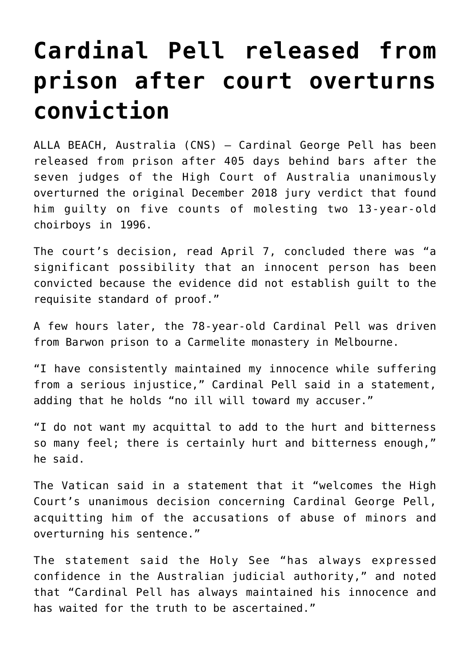## **[Cardinal Pell released from](https://www.osvnews.com/2020/04/07/cardinal-pell-released-from-prison-after-court-overturns-conviction/) [prison after court overturns](https://www.osvnews.com/2020/04/07/cardinal-pell-released-from-prison-after-court-overturns-conviction/) [conviction](https://www.osvnews.com/2020/04/07/cardinal-pell-released-from-prison-after-court-overturns-conviction/)**

ALLA BEACH, Australia (CNS) — Cardinal George Pell has been released from prison after 405 days behind bars after the seven judges of the High Court of Australia unanimously overturned the original December 2018 jury verdict that found him guilty on five counts of molesting two 13-year-old choirboys in 1996.

The court's decision, read April 7, concluded there was "a significant possibility that an innocent person has been convicted because the evidence did not establish guilt to the requisite standard of proof."

A few hours later, the 78-year-old Cardinal Pell was driven from Barwon prison to a Carmelite monastery in Melbourne.

"I have consistently maintained my innocence while suffering from a serious injustice," Cardinal Pell said in a statement, adding that he holds "no ill will toward my accuser."

"I do not want my acquittal to add to the hurt and bitterness so many feel; there is certainly hurt and bitterness enough," he said.

The Vatican said in a statement that it "welcomes the High Court's unanimous decision concerning Cardinal George Pell, acquitting him of the accusations of abuse of minors and overturning his sentence."

The statement said the Holy See "has always expressed confidence in the Australian judicial authority," and noted that "Cardinal Pell has always maintained his innocence and has waited for the truth to be ascertained."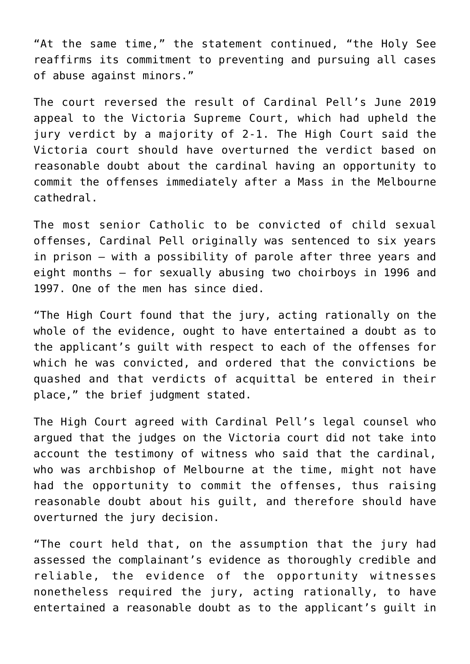"At the same time," the statement continued, "the Holy See reaffirms its commitment to preventing and pursuing all cases of abuse against minors."

The court reversed the result of Cardinal Pell's June 2019 appeal to the Victoria Supreme Court, which had upheld the jury verdict by a majority of 2-1. The High Court said the Victoria court should have overturned the verdict based on reasonable doubt about the cardinal having an opportunity to commit the offenses immediately after a Mass in the Melbourne cathedral.

The most senior Catholic to be convicted of child sexual offenses, Cardinal Pell originally was sentenced to six years in prison — with a possibility of parole after three years and eight months — for sexually abusing two choirboys in 1996 and 1997. One of the men has since died.

"The High Court found that the jury, acting rationally on the whole of the evidence, ought to have entertained a doubt as to the applicant's guilt with respect to each of the offenses for which he was convicted, and ordered that the convictions be quashed and that verdicts of acquittal be entered in their place," the brief judgment stated.

The High Court agreed with Cardinal Pell's legal counsel who argued that the judges on the Victoria court did not take into account the testimony of witness who said that the cardinal, who was archbishop of Melbourne at the time, might not have had the opportunity to commit the offenses, thus raising reasonable doubt about his guilt, and therefore should have overturned the jury decision.

"The court held that, on the assumption that the jury had assessed the complainant's evidence as thoroughly credible and reliable, the evidence of the opportunity witnesses nonetheless required the jury, acting rationally, to have entertained a reasonable doubt as to the applicant's guilt in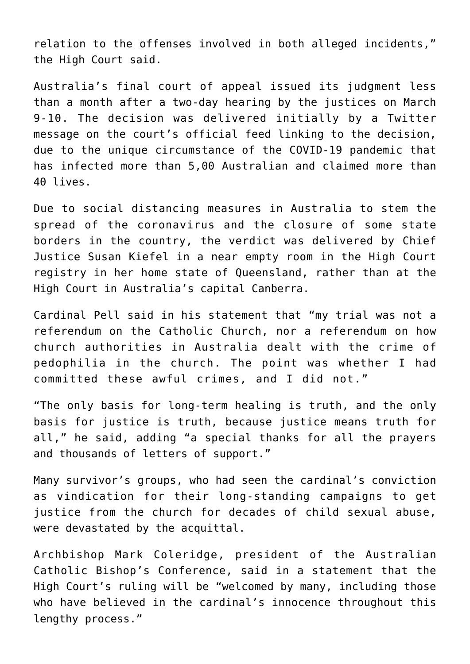relation to the offenses involved in both alleged incidents," the High Court said.

Australia's final court of appeal issued its judgment less than a month after a two-day hearing by the justices on March 9-10. The decision was delivered initially by a Twitter message on the court's official feed linking to the decision, due to the unique circumstance of the COVID-19 pandemic that has infected more than 5,00 Australian and claimed more than 40 lives.

Due to social distancing measures in Australia to stem the spread of the coronavirus and the closure of some state borders in the country, the verdict was delivered by Chief Justice Susan Kiefel in a near empty room in the High Court registry in her home state of Queensland, rather than at the High Court in Australia's capital Canberra.

Cardinal Pell said in his statement that "my trial was not a referendum on the Catholic Church, nor a referendum on how church authorities in Australia dealt with the crime of pedophilia in the church. The point was whether I had committed these awful crimes, and I did not."

"The only basis for long-term healing is truth, and the only basis for justice is truth, because justice means truth for all," he said, adding "a special thanks for all the prayers and thousands of letters of support."

Many survivor's groups, who had seen the cardinal's conviction as vindication for their long-standing campaigns to get justice from the church for decades of child sexual abuse, were devastated by the acquittal.

Archbishop Mark Coleridge, president of the Australian Catholic Bishop's Conference, said in a statement that the High Court's ruling will be "welcomed by many, including those who have believed in the cardinal's innocence throughout this lengthy process."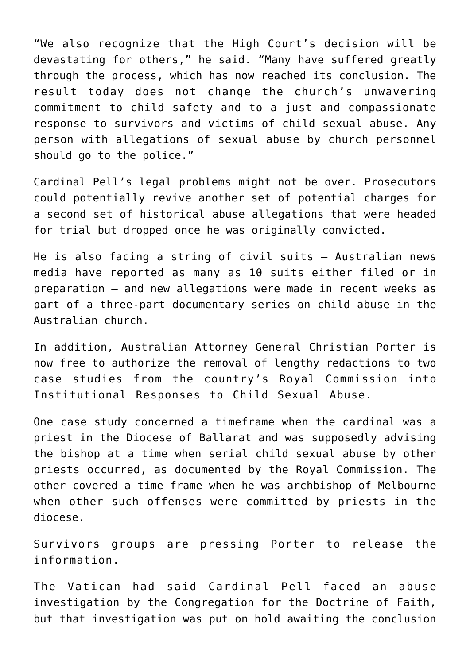"We also recognize that the High Court's decision will be devastating for others," he said. "Many have suffered greatly through the process, which has now reached its conclusion. The result today does not change the church's unwavering commitment to child safety and to a just and compassionate response to survivors and victims of child sexual abuse. Any person with allegations of sexual abuse by church personnel should go to the police."

Cardinal Pell's legal problems might not be over. Prosecutors could potentially revive another set of potential charges for a second set of historical abuse allegations that were headed for trial but dropped once he was originally convicted.

He is also facing a string of civil suits — Australian news media have reported as many as 10 suits either filed or in preparation — and new allegations were made in recent weeks as part of a three-part documentary series on child abuse in the Australian church.

In addition, Australian Attorney General Christian Porter is now free to authorize the removal of lengthy redactions to two case studies from the country's Royal Commission into Institutional Responses to Child Sexual Abuse.

One case study concerned a timeframe when the cardinal was a priest in the Diocese of Ballarat and was supposedly advising the bishop at a time when serial child sexual abuse by other priests occurred, as documented by the Royal Commission. The other covered a time frame when he was archbishop of Melbourne when other such offenses were committed by priests in the diocese.

Survivors groups are pressing Porter to release the information.

The Vatican had said Cardinal Pell faced an abuse investigation by the Congregation for the Doctrine of Faith, but that investigation was put on hold awaiting the conclusion